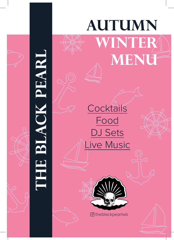

# **The Black Pearl PEARI**

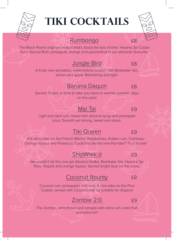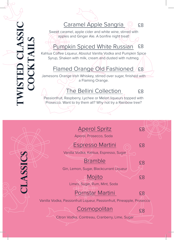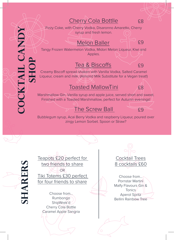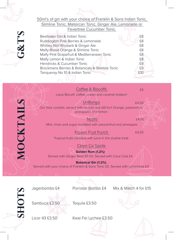

**Botanical Gin (1.2%)** Served with your choice of Franklin & Sons Tonic £5. Served with Lemonade £4

HOTS



Jagerbombs £4 Pornstar Bombs £4 Mix & Match 4 for £15

Licor 43 £3.50 Kwai Fei Lychee £3.50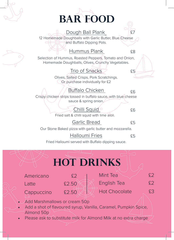

Please ask to substitute milk for Almond Milk at no extra charge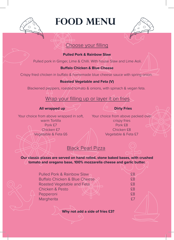# **Food menu**

## Choose your filling

**Pulled Pork & Rainbow Slaw**

Pulled pork in Ginger, Lime & Chilli. With house Slaw and Lime Aoli.

### **Buffalo Chicken & Blue Cheese**

Crispy fried chicken in buffalo & homemade blue cheese sauce with spring onion.

### **Roasted Vegetable and Feta (V)**

Blackened peppers, roasted tomato & onions, with spinach & vegan feta.

## Wrap your filling up or layer it on fries

### **All wrapped up Dirty Fries**

 $\beta$ 

Your choice from above wrapped in soft, http://www.choice from above packed over warm Tortilla Pork £7 Chicken £7 Vegetable & Feta £6

crispy fries Pork £8 Chicken £8 Vegetable & Feta £7

## Black Pearl Pizza

**Our classic pizzas are served on hand rolled, stone baked bases, with crushed tomato and oregano base, 100% mozzarella cheese and garlic butter.** 

| <b>Pulled Pork &amp; Rainbow Slaw</b>    | £8 |
|------------------------------------------|----|
| <b>Buffalo Chicken &amp; Blue Cheese</b> | £8 |
| Roasted Vegetable and Feta               | £8 |
| <b>Chicken &amp; Pesto</b>               | £8 |
| Pepperoni                                | £8 |
| Margherita                               |    |

**Why not add a side of fries £3?**